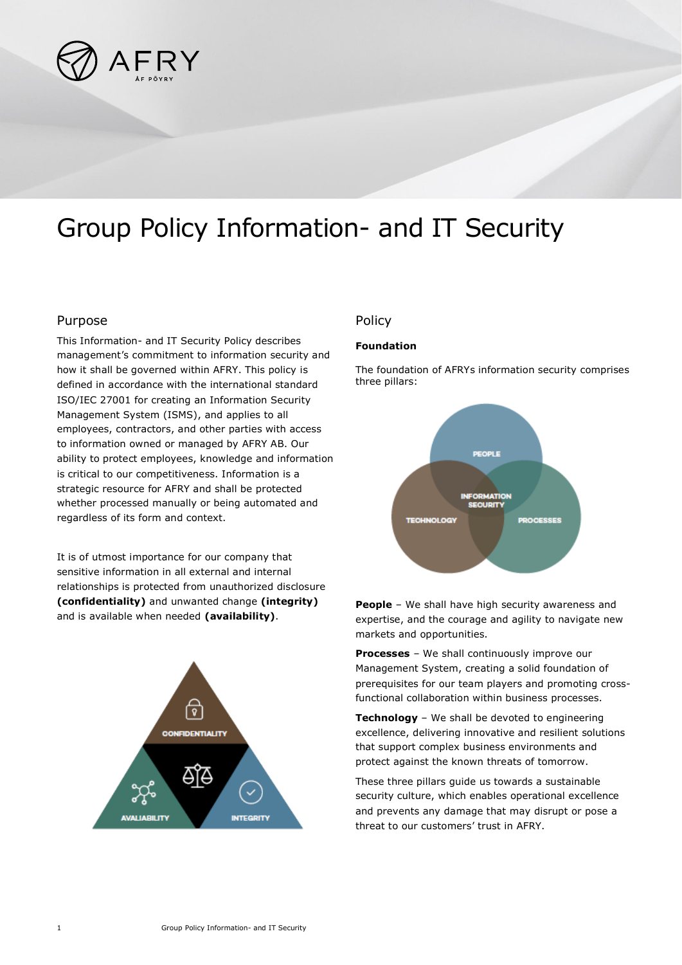

# Group Policy Information- and IT Security

### Purpose

This Information- and IT Security Policy describes management's commitment to information security and how it shall be governed within AFRY. This policy is defined in accordance with the international standard ISO/IEC 27001 for creating an Information Security Management System (ISMS), and applies to all employees, contractors, and other parties with access to information owned or managed by AFRY AB. Our ability to protect employees, knowledge and information is critical to our competitiveness. Information is a strategic resource for AFRY and shall be protected whether processed manually or being automated and regardless of its form and context.

It is of utmost importance for our company that sensitive information in all external and internal relationships is protected from unauthorized disclosure **(confidentiality)** and unwanted change **(integrity)** and is available when needed **(availability)**.



## Policy

#### **Foundation**

The foundation of AFRYs information security comprises three pillars:



**People** – We shall have high security awareness and expertise, and the courage and agility to navigate new markets and opportunities.

**Processes** – We shall continuously improve our Management System, creating a solid foundation of prerequisites for our team players and promoting crossfunctional collaboration within business processes.

**Technology** – We shall be devoted to engineering excellence, delivering innovative and resilient solutions that support complex business environments and protect against the known threats of tomorrow.

These three pillars guide us towards a sustainable security culture, which enables operational excellence and prevents any damage that may disrupt or pose a threat to our customers' trust in AFRY.